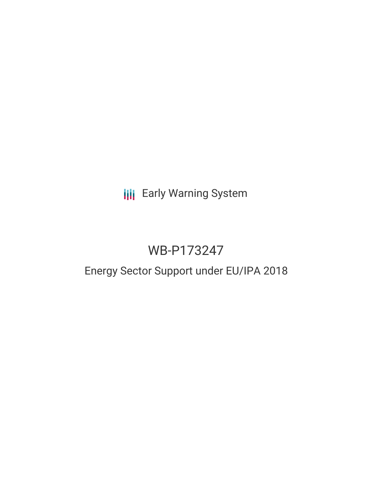## **III** Early Warning System

# WB-P173247

## Energy Sector Support under EU/IPA 2018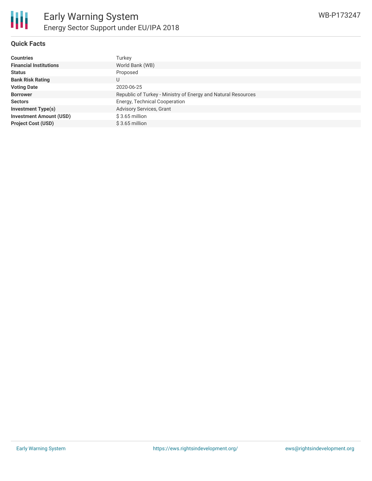

#### **Quick Facts**

| <b>Countries</b>               | Turkey                                                        |
|--------------------------------|---------------------------------------------------------------|
| <b>Financial Institutions</b>  | World Bank (WB)                                               |
| <b>Status</b>                  | Proposed                                                      |
| <b>Bank Risk Rating</b>        | U                                                             |
| <b>Voting Date</b>             | 2020-06-25                                                    |
| <b>Borrower</b>                | Republic of Turkey - Ministry of Energy and Natural Resources |
| <b>Sectors</b>                 | Energy, Technical Cooperation                                 |
| <b>Investment Type(s)</b>      | Advisory Services, Grant                                      |
| <b>Investment Amount (USD)</b> | $$3.65$ million                                               |
| <b>Project Cost (USD)</b>      | $$3.65$ million                                               |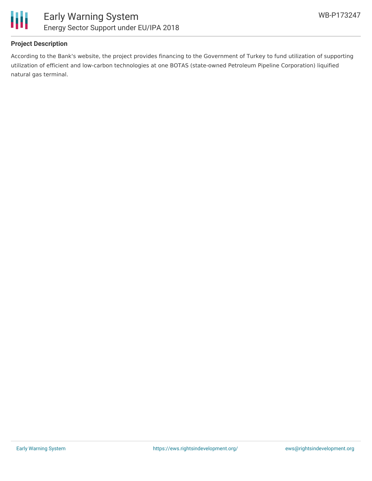

### **Project Description**

According to the Bank's website, the project provides financing to the Government of Turkey to fund utilization of supporting utilization of efficient and low-carbon technologies at one BOTAS (state-owned Petroleum Pipeline Corporation) liquified natural gas terminal.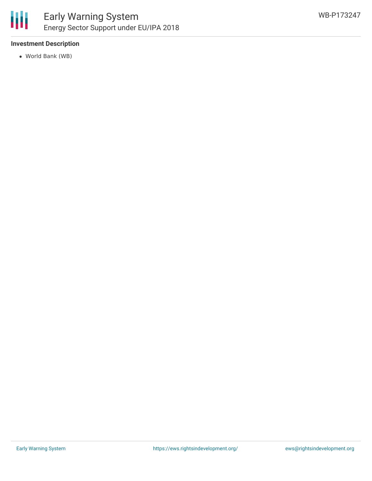

### Early Warning System Energy Sector Support under EU/IPA 2018

### **Investment Description**

World Bank (WB)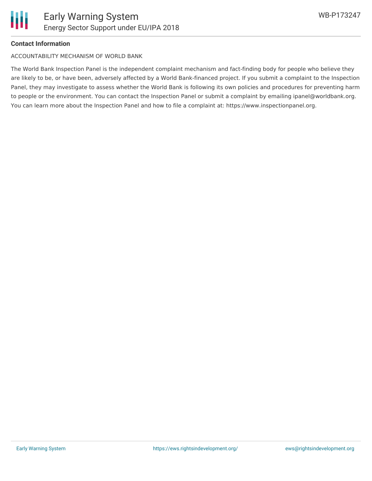

#### **Contact Information**

ACCOUNTABILITY MECHANISM OF WORLD BANK

The World Bank Inspection Panel is the independent complaint mechanism and fact-finding body for people who believe they are likely to be, or have been, adversely affected by a World Bank-financed project. If you submit a complaint to the Inspection Panel, they may investigate to assess whether the World Bank is following its own policies and procedures for preventing harm to people or the environment. You can contact the Inspection Panel or submit a complaint by emailing ipanel@worldbank.org. You can learn more about the Inspection Panel and how to file a complaint at: https://www.inspectionpanel.org.